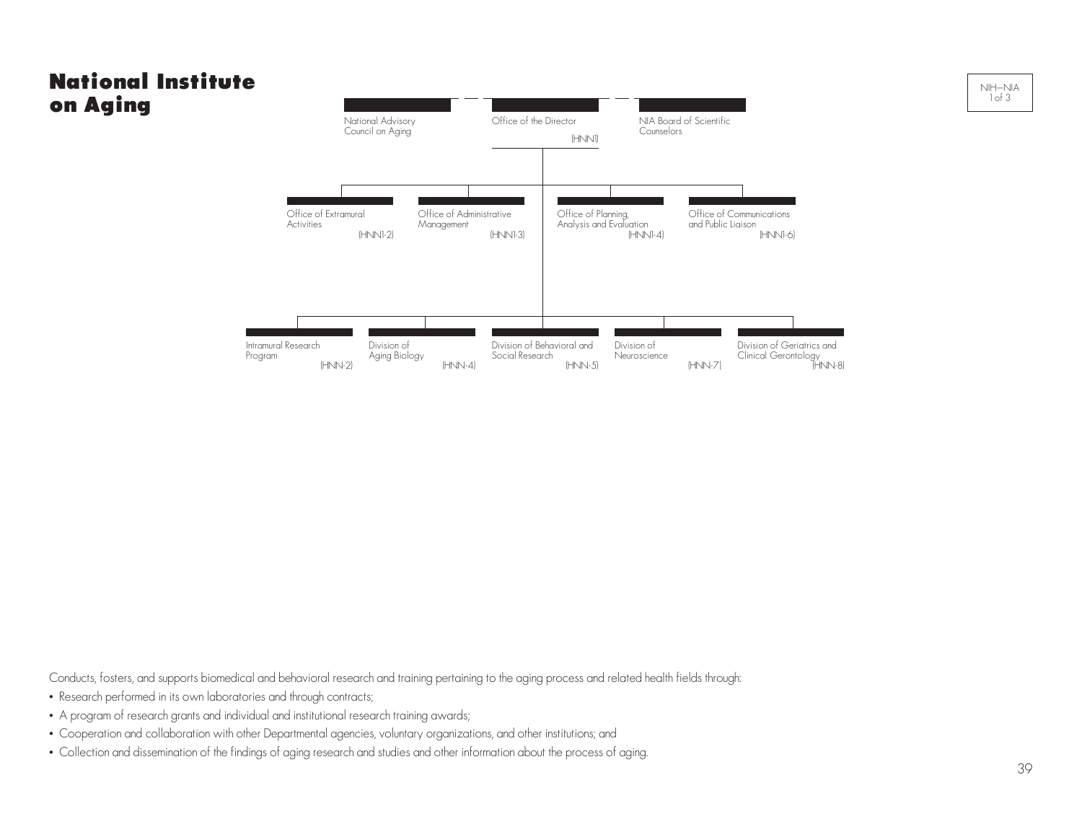## National Institute on Aging



Conducts, fosters, and supports biomedical and behavioral research and training pertaining to the aging process and related health fields through:

- Research performed in its own laboratories and through contracts;
- A program of research grants and individual and institutional research training awards;
- Cooperation and collaboration with other Departmental agencies, voluntary organizations, and other institutions; and
- Collection and dissemination of the findings of aging research and studies and other information about the process of aging.

NIH–NIA 1 of 3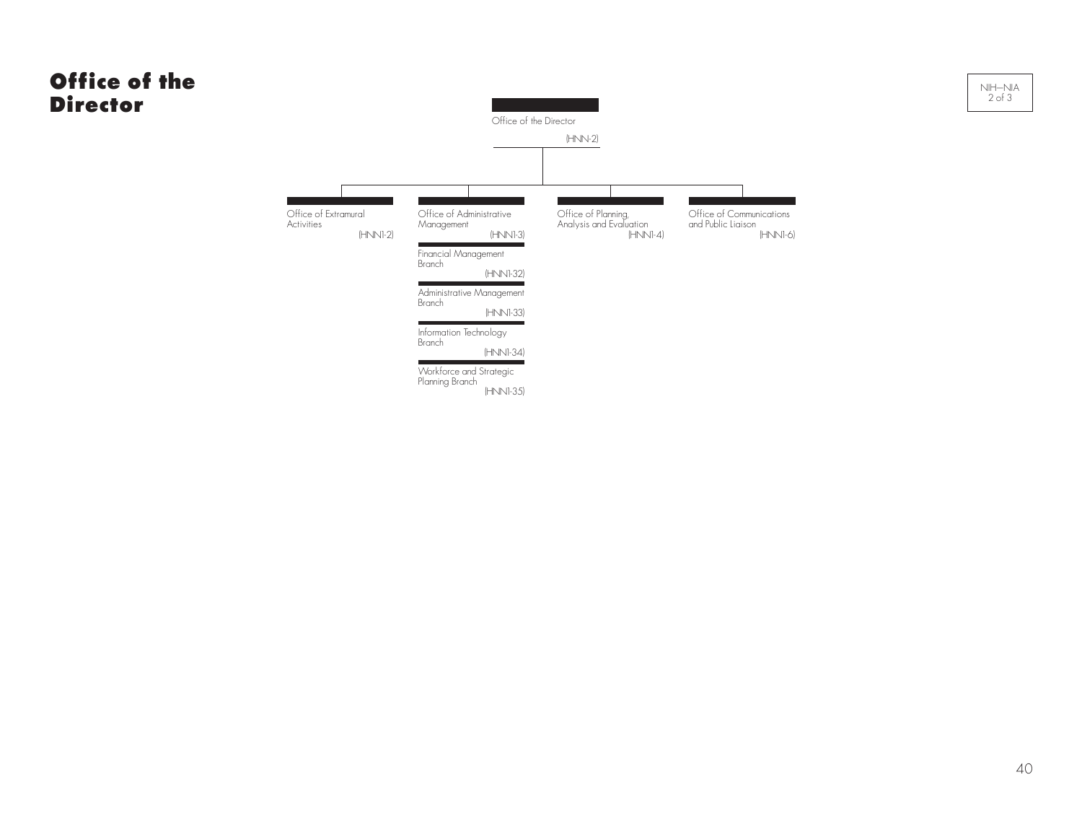## Office of the **Director** Office of the Director (HNN-2) Office of Extramural Office of Administrative Office of Planning, Office of Communications **Activities Management** and Public Liaison Analysis and Evaluation (HNN1-4) (HNN1-2) (HNN1-3)  $\overline{\phantom{a}}$ Financial Management **Branch** (HNN1-32) п Administrative Management Branch (HNN1-33) Information Technology Branch

Workforce and Strategic Planning Branch (HNN1-35)

(HNN1-34)

(HNN1-6)